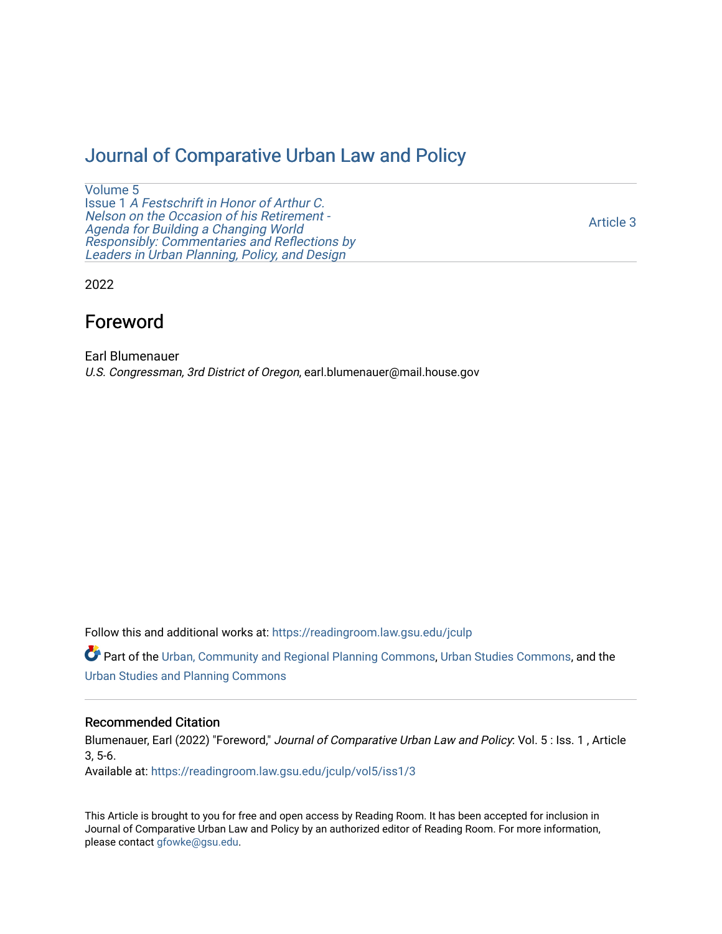# [Journal of Comparative Urban Law and Policy](https://readingroom.law.gsu.edu/jculp)

[Volume 5](https://readingroom.law.gsu.edu/jculp/vol5) Issue 1 [A Festschrift in Honor of Arthur C.](https://readingroom.law.gsu.edu/jculp/vol5/iss1) [Nelson on the Occasion of his Retirement -](https://readingroom.law.gsu.edu/jculp/vol5/iss1)  [Agenda for Building a Changing World](https://readingroom.law.gsu.edu/jculp/vol5/iss1)  [Responsibly: Commentaries and Reflections by](https://readingroom.law.gsu.edu/jculp/vol5/iss1) [Leaders in Urban Planning, Policy, and Design](https://readingroom.law.gsu.edu/jculp/vol5/iss1) 

[Article 3](https://readingroom.law.gsu.edu/jculp/vol5/iss1/3) 

2022

# Foreword

Earl Blumenauer U.S. Congressman, 3rd District of Oregon, earl.blumenauer@mail.house.gov

Follow this and additional works at: [https://readingroom.law.gsu.edu/jculp](https://readingroom.law.gsu.edu/jculp?utm_source=readingroom.law.gsu.edu%2Fjculp%2Fvol5%2Fiss1%2F3&utm_medium=PDF&utm_campaign=PDFCoverPages) 

Part of the [Urban, Community and Regional Planning Commons](https://network.bepress.com/hgg/discipline/776?utm_source=readingroom.law.gsu.edu%2Fjculp%2Fvol5%2Fiss1%2F3&utm_medium=PDF&utm_campaign=PDFCoverPages), [Urban Studies Commons](https://network.bepress.com/hgg/discipline/402?utm_source=readingroom.law.gsu.edu%2Fjculp%2Fvol5%2Fiss1%2F3&utm_medium=PDF&utm_campaign=PDFCoverPages), and the [Urban Studies and Planning Commons](https://network.bepress.com/hgg/discipline/436?utm_source=readingroom.law.gsu.edu%2Fjculp%2Fvol5%2Fiss1%2F3&utm_medium=PDF&utm_campaign=PDFCoverPages) 

### Recommended Citation

Blumenauer, Earl (2022) "Foreword," Journal of Comparative Urban Law and Policy: Vol. 5 : Iss. 1, Article 3, 5-6.

Available at: [https://readingroom.law.gsu.edu/jculp/vol5/iss1/3](https://readingroom.law.gsu.edu/jculp/vol5/iss1/3?utm_source=readingroom.law.gsu.edu%2Fjculp%2Fvol5%2Fiss1%2F3&utm_medium=PDF&utm_campaign=PDFCoverPages) 

This Article is brought to you for free and open access by Reading Room. It has been accepted for inclusion in Journal of Comparative Urban Law and Policy by an authorized editor of Reading Room. For more information, please contact [gfowke@gsu.edu](mailto:gfowke@gsu.edu).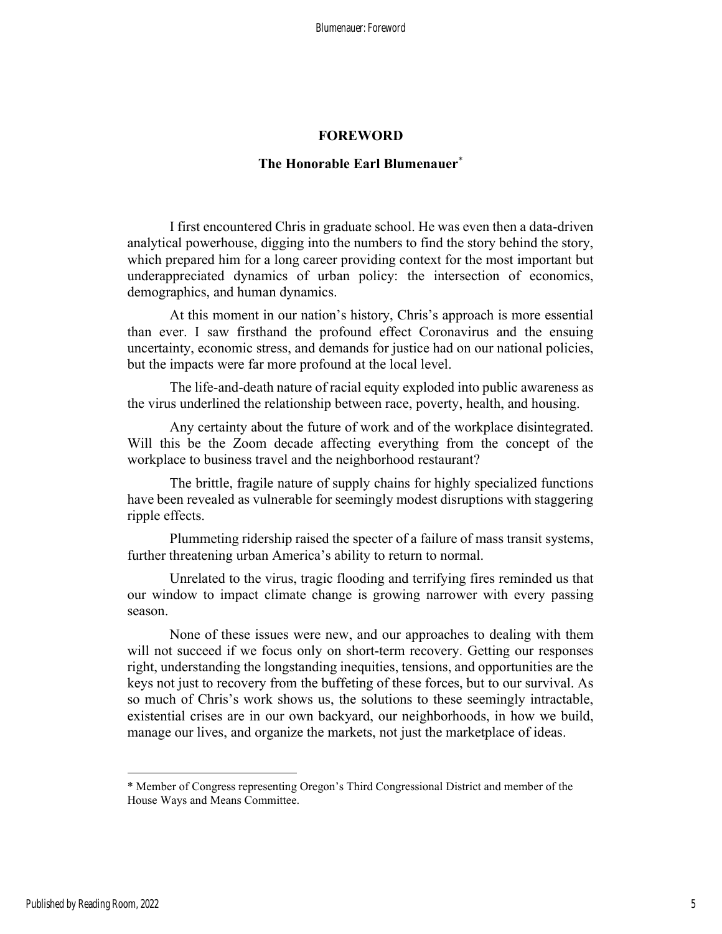#### FOREWORD

## The Honorable Earl Blumenauer<sup>\*</sup>

I first encountered Chris in graduate school. He was even then a data-driven analytical powerhouse, digging into the numbers to find the story behind the story, which prepared him for a long career providing context for the most important but underappreciated dynamics of urban policy: the intersection of economics, demographics, and human dynamics.

At this moment in our nation's history, Chris's approach is more essential than ever. I saw firsthand the profound effect Coronavirus and the ensuing uncertainty, economic stress, and demands for justice had on our national policies, but the impacts were far more profound at the local level.

The life-and-death nature of racial equity exploded into public awareness as the virus underlined the relationship between race, poverty, health, and housing.

Any certainty about the future of work and of the workplace disintegrated. Will this be the Zoom decade affecting everything from the concept of the workplace to business travel and the neighborhood restaurant?

The brittle, fragile nature of supply chains for highly specialized functions have been revealed as vulnerable for seemingly modest disruptions with staggering ripple effects.

Plummeting ridership raised the specter of a failure of mass transit systems, further threatening urban America's ability to return to normal.

Unrelated to the virus, tragic flooding and terrifying fires reminded us that our window to impact climate change is growing narrower with every passing season.

None of these issues were new, and our approaches to dealing with them will not succeed if we focus only on short-term recovery. Getting our responses right, understanding the longstanding inequities, tensions, and opportunities are the keys not just to recovery from the buffeting of these forces, but to our survival. As so much of Chris's work shows us, the solutions to these seemingly intractable, existential crises are in our own backyard, our neighborhoods, in how we build, manage our lives, and organize the markets, not just the marketplace of ideas.

<sup>\*</sup> Member of Congress representing Oregon's Third Congressional District and member of the House Ways and Means Committee.